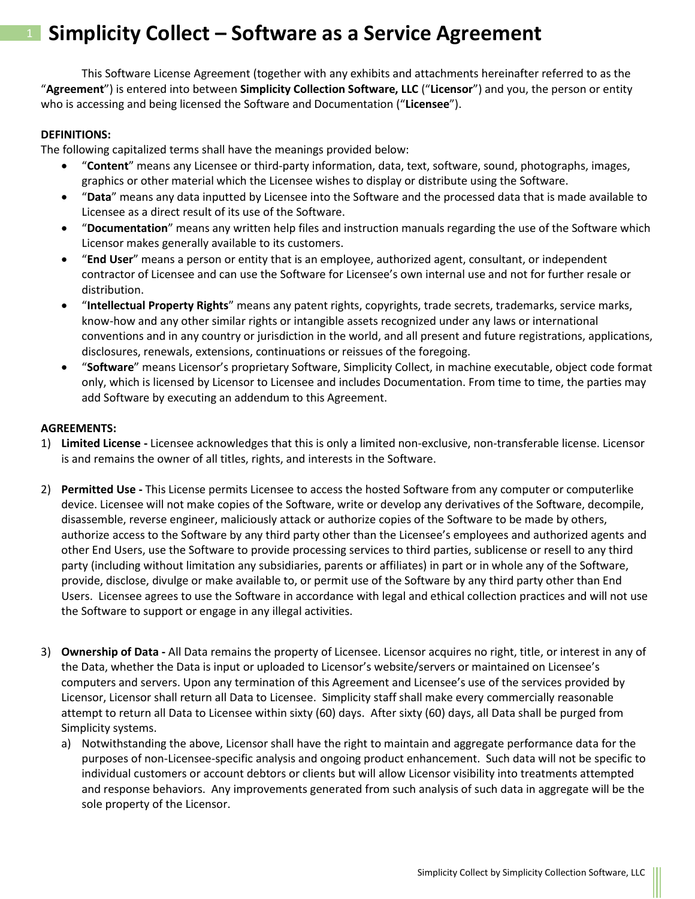This Software License Agreement (together with any exhibits and attachments hereinafter referred to as the "**Agreement**") is entered into between **Simplicity Collection Software, LLC** ("**Licensor**") and you, the person or entity who is accessing and being licensed the Software and Documentation ("**Licensee**").

#### **DEFINITIONS:**

The following capitalized terms shall have the meanings provided below:

- "**Content**" means any Licensee or third-party information, data, text, software, sound, photographs, images, graphics or other material which the Licensee wishes to display or distribute using the Software.
- "**Data**" means any data inputted by Licensee into the Software and the processed data that is made available to Licensee as a direct result of its use of the Software.
- "**Documentation**" means any written help files and instruction manuals regarding the use of the Software which Licensor makes generally available to its customers.
- "**End User**" means a person or entity that is an employee, authorized agent, consultant, or independent contractor of Licensee and can use the Software for Licensee's own internal use and not for further resale or distribution.
- "**Intellectual Property Rights**" means any patent rights, copyrights, trade secrets, trademarks, service marks, know-how and any other similar rights or intangible assets recognized under any laws or international conventions and in any country or jurisdiction in the world, and all present and future registrations, applications, disclosures, renewals, extensions, continuations or reissues of the foregoing.
- "**Software**" means Licensor's proprietary Software, Simplicity Collect, in machine executable, object code format only, which is licensed by Licensor to Licensee and includes Documentation. From time to time, the parties may add Software by executing an addendum to this Agreement.

### **AGREEMENTS:**

- 1) **Limited License -** Licensee acknowledges that this is only a limited non-exclusive, non-transferable license. Licensor is and remains the owner of all titles, rights, and interests in the Software.
- 2) **Permitted Use -** This License permits Licensee to access the hosted Software from any computer or computerlike device. Licensee will not make copies of the Software, write or develop any derivatives of the Software, decompile, disassemble, reverse engineer, maliciously attack or authorize copies of the Software to be made by others, authorize access to the Software by any third party other than the Licensee's employees and authorized agents and other End Users, use the Software to provide processing services to third parties, sublicense or resell to any third party (including without limitation any subsidiaries, parents or affiliates) in part or in whole any of the Software, provide, disclose, divulge or make available to, or permit use of the Software by any third party other than End Users. Licensee agrees to use the Software in accordance with legal and ethical collection practices and will not use the Software to support or engage in any illegal activities.
- 3) **Ownership of Data -** All Data remains the property of Licensee. Licensor acquires no right, title, or interest in any of the Data, whether the Data is input or uploaded to Licensor's website/servers or maintained on Licensee's computers and servers. Upon any termination of this Agreement and Licensee's use of the services provided by Licensor, Licensor shall return all Data to Licensee. Simplicity staff shall make every commercially reasonable attempt to return all Data to Licensee within sixty (60) days. After sixty (60) days, all Data shall be purged from Simplicity systems.
	- a) Notwithstanding the above, Licensor shall have the right to maintain and aggregate performance data for the purposes of non-Licensee-specific analysis and ongoing product enhancement. Such data will not be specific to individual customers or account debtors or clients but will allow Licensor visibility into treatments attempted and response behaviors. Any improvements generated from such analysis of such data in aggregate will be the sole property of the Licensor.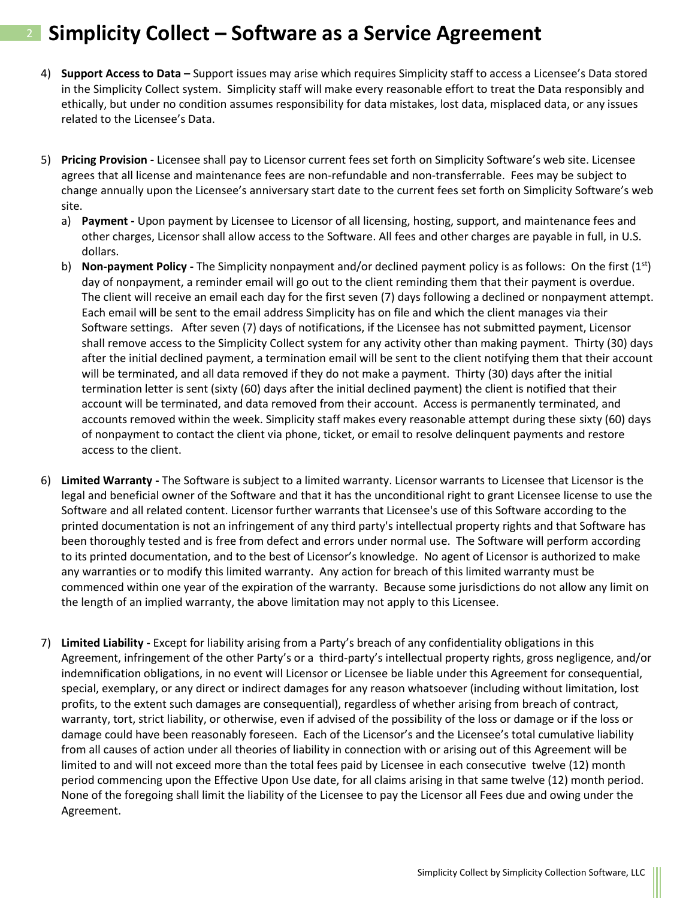- 4) **Support Access to Data –** Support issues may arise which requires Simplicity staff to access a Licensee's Data stored in the Simplicity Collect system. Simplicity staff will make every reasonable effort to treat the Data responsibly and ethically, but under no condition assumes responsibility for data mistakes, lost data, misplaced data, or any issues related to the Licensee's Data.
- 5) **Pricing Provision -** Licensee shall pay to Licensor current fees set forth on Simplicity Software's web site. Licensee agrees that all license and maintenance fees are non-refundable and non-transferrable. Fees may be subject to change annually upon the Licensee's anniversary start date to the current fees set forth on Simplicity Software's web site.
	- a) **Payment -** Upon payment by Licensee to Licensor of all licensing, hosting, support, and maintenance fees and other charges, Licensor shall allow access to the Software. All fees and other charges are payable in full, in U.S. dollars.
	- b) **Non-payment Policy** The Simplicity nonpayment and/or declined payment policy is as follows: On the first (1<sup>st</sup>) day of nonpayment, a reminder email will go out to the client reminding them that their payment is overdue. The client will receive an email each day for the first seven (7) days following a declined or nonpayment attempt. Each email will be sent to the email address Simplicity has on file and which the client manages via their Software settings. After seven (7) days of notifications, if the Licensee has not submitted payment, Licensor shall remove access to the Simplicity Collect system for any activity other than making payment. Thirty (30) days after the initial declined payment, a termination email will be sent to the client notifying them that their account will be terminated, and all data removed if they do not make a payment. Thirty (30) days after the initial termination letter is sent (sixty (60) days after the initial declined payment) the client is notified that their account will be terminated, and data removed from their account. Access is permanently terminated, and accounts removed within the week. Simplicity staff makes every reasonable attempt during these sixty (60) days of nonpayment to contact the client via phone, ticket, or email to resolve delinquent payments and restore access to the client.
- 6) **Limited Warranty -** The Software is subject to a limited warranty. Licensor warrants to Licensee that Licensor is the legal and beneficial owner of the Software and that it has the unconditional right to grant Licensee license to use the Software and all related content. Licensor further warrants that Licensee's use of this Software according to the printed documentation is not an infringement of any third party's intellectual property rights and that Software has been thoroughly tested and is free from defect and errors under normal use. The Software will perform according to its printed documentation, and to the best of Licensor's knowledge. No agent of Licensor is authorized to make any warranties or to modify this limited warranty. Any action for breach of this limited warranty must be commenced within one year of the expiration of the warranty. Because some jurisdictions do not allow any limit on the length of an implied warranty, the above limitation may not apply to this Licensee.
- 7) **Limited Liability -** Except for liability arising from a Party's breach of any confidentiality obligations in this Agreement, infringement of the other Party's or a third-party's intellectual property rights, gross negligence, and/or indemnification obligations, in no event will Licensor or Licensee be liable under this Agreement for consequential, special, exemplary, or any direct or indirect damages for any reason whatsoever (including without limitation, lost profits, to the extent such damages are consequential), regardless of whether arising from breach of contract, warranty, tort, strict liability, or otherwise, even if advised of the possibility of the loss or damage or if the loss or damage could have been reasonably foreseen. Each of the Licensor's and the Licensee's total cumulative liability from all causes of action under all theories of liability in connection with or arising out of this Agreement will be limited to and will not exceed more than the total fees paid by Licensee in each consecutive twelve (12) month period commencing upon the Effective Upon Use date, for all claims arising in that same twelve (12) month period. None of the foregoing shall limit the liability of the Licensee to pay the Licensor all Fees due and owing under the Agreement.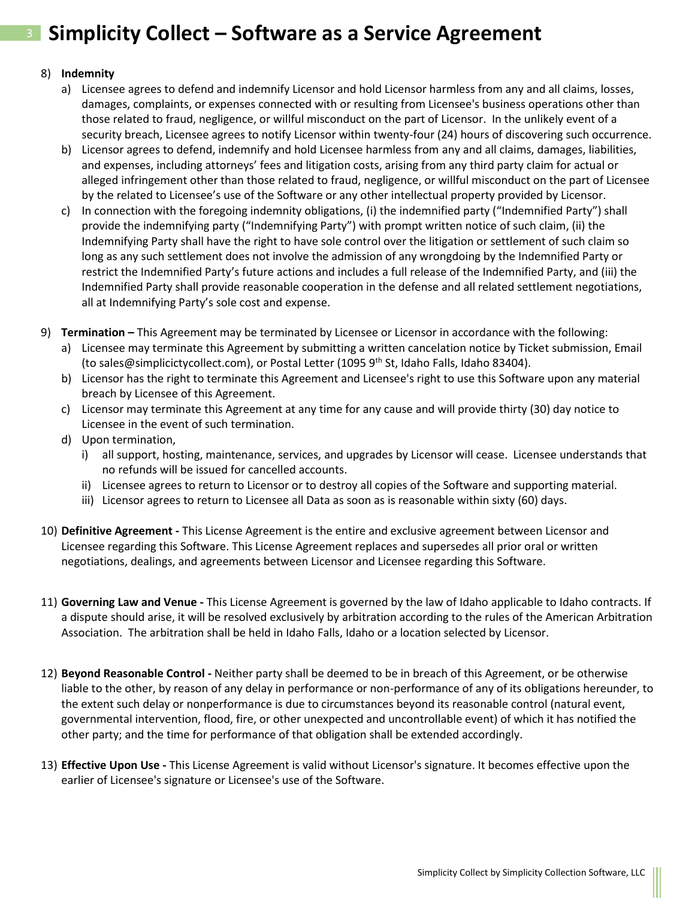### 8) **Indemnity**

- a) Licensee agrees to defend and indemnify Licensor and hold Licensor harmless from any and all claims, losses, damages, complaints, or expenses connected with or resulting from Licensee's business operations other than those related to fraud, negligence, or willful misconduct on the part of Licensor. In the unlikely event of a security breach, Licensee agrees to notify Licensor within twenty-four (24) hours of discovering such occurrence.
- b) Licensor agrees to defend, indemnify and hold Licensee harmless from any and all claims, damages, liabilities, and expenses, including attorneys' fees and litigation costs, arising from any third party claim for actual or alleged infringement other than those related to fraud, negligence, or willful misconduct on the part of Licensee by the related to Licensee's use of the Software or any other intellectual property provided by Licensor.
- c) In connection with the foregoing indemnity obligations, (i) the indemnified party ("Indemnified Party") shall provide the indemnifying party ("Indemnifying Party") with prompt written notice of such claim, (ii) the Indemnifying Party shall have the right to have sole control over the litigation or settlement of such claim so long as any such settlement does not involve the admission of any wrongdoing by the Indemnified Party or restrict the Indemnified Party's future actions and includes a full release of the Indemnified Party, and (iii) the Indemnified Party shall provide reasonable cooperation in the defense and all related settlement negotiations, all at Indemnifying Party's sole cost and expense.
- 9) **Termination –** This Agreement may be terminated by Licensee or Licensor in accordance with the following:
	- a) Licensee may terminate this Agreement by submitting a written cancelation notice by Ticket submission, Email (to sales@simplicictycollect.com), or Postal Letter (1095 9<sup>th</sup> St, Idaho Falls, Idaho 83404).
	- b) Licensor has the right to terminate this Agreement and Licensee's right to use this Software upon any material breach by Licensee of this Agreement.
	- c) Licensor may terminate this Agreement at any time for any cause and will provide thirty (30) day notice to Licensee in the event of such termination.
	- d) Upon termination,
		- i) all support, hosting, maintenance, services, and upgrades by Licensor will cease. Licensee understands that no refunds will be issued for cancelled accounts.
		- ii) Licensee agrees to return to Licensor or to destroy all copies of the Software and supporting material.
		- iii) Licensor agrees to return to Licensee all Data as soon as is reasonable within sixty (60) days.
- 10) **Definitive Agreement -** This License Agreement is the entire and exclusive agreement between Licensor and Licensee regarding this Software. This License Agreement replaces and supersedes all prior oral or written negotiations, dealings, and agreements between Licensor and Licensee regarding this Software.
- 11) **Governing Law and Venue -** This License Agreement is governed by the law of Idaho applicable to Idaho contracts. If a dispute should arise, it will be resolved exclusively by arbitration according to the rules of the American Arbitration Association. The arbitration shall be held in Idaho Falls, Idaho or a location selected by Licensor.
- 12) **Beyond Reasonable Control -** Neither party shall be deemed to be in breach of this Agreement, or be otherwise liable to the other, by reason of any delay in performance or non-performance of any of its obligations hereunder, to the extent such delay or nonperformance is due to circumstances beyond its reasonable control (natural event, governmental intervention, flood, fire, or other unexpected and uncontrollable event) of which it has notified the other party; and the time for performance of that obligation shall be extended accordingly.
- 13) **Effective Upon Use -** This License Agreement is valid without Licensor's signature. It becomes effective upon the earlier of Licensee's signature or Licensee's use of the Software.